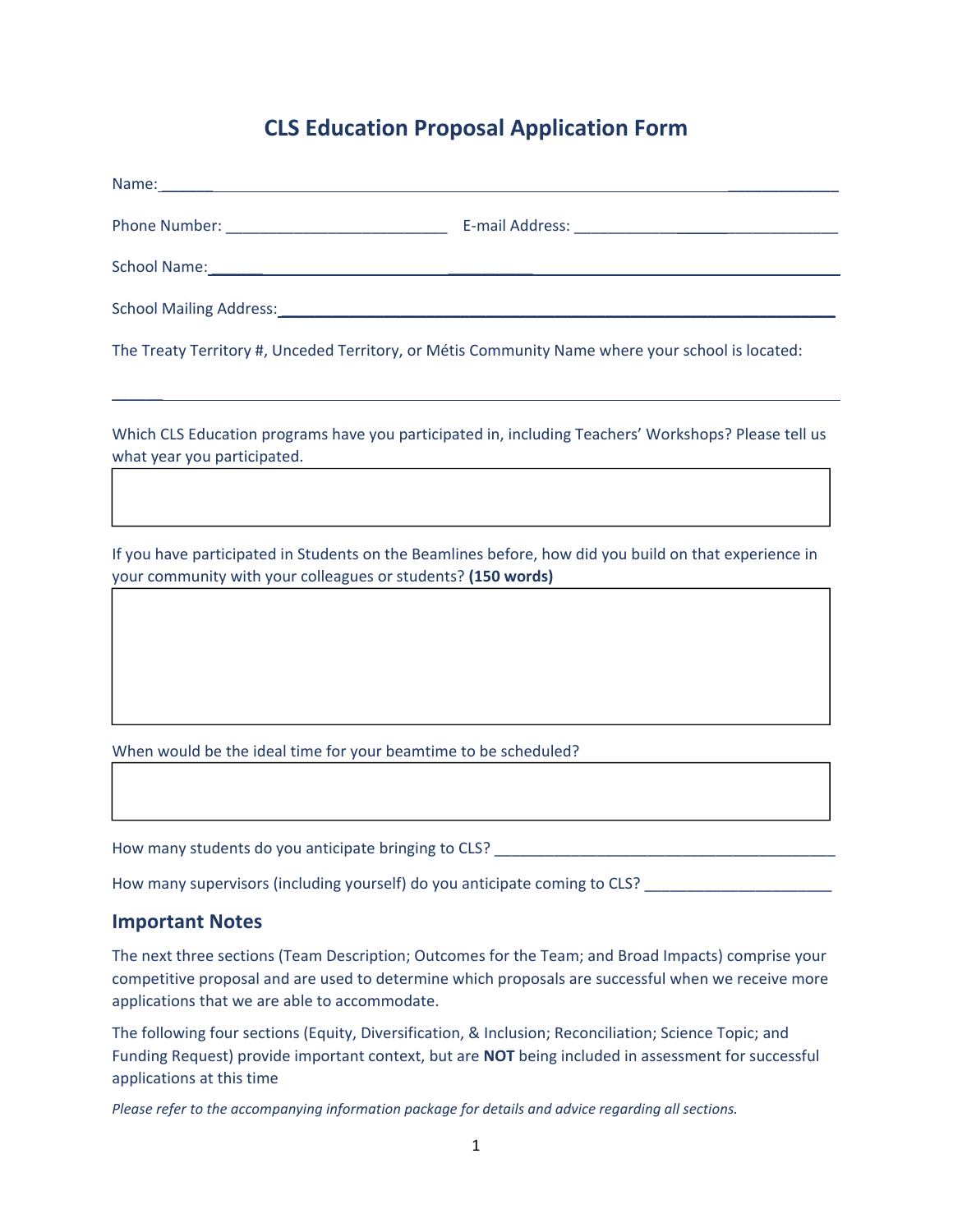## **CLS Education Proposal Application Form**

The Treaty Territory #, Unceded Territory, or Métis Community Name where your school is located:

Which CLS Education programs have you participated in, including Teachers' Workshops? Please tell us what year you participated.

\_\_\_\_\_\_

If you have participated in Students on the Beamlines before, how did you build on that experience in your community with your colleagues or students? **(150 words)**

When would be the ideal time for your beamtime to be scheduled?

How many students do you anticipate bringing to CLS? \_\_\_\_\_\_\_\_\_\_\_\_\_\_\_\_\_\_\_\_\_\_\_\_\_\_\_

How many supervisors (including yourself) do you anticipate coming to CLS? \_\_\_\_\_\_\_\_\_\_\_

## **Important Notes**

The next three sections (Team Description; Outcomes for the Team; and Broad Impacts) comprise your competitive proposal and are used to determine which proposals are successful when we receive more applications that we are able to accommodate.

The following four sections (Equity, Diversification, & Inclusion; Reconciliation; Science Topic; and Funding Request) provide important context, but are **NOT** being included in assessment for successful applications at this time

*Please refer to the accompanying information package for details and advice regarding all sections.*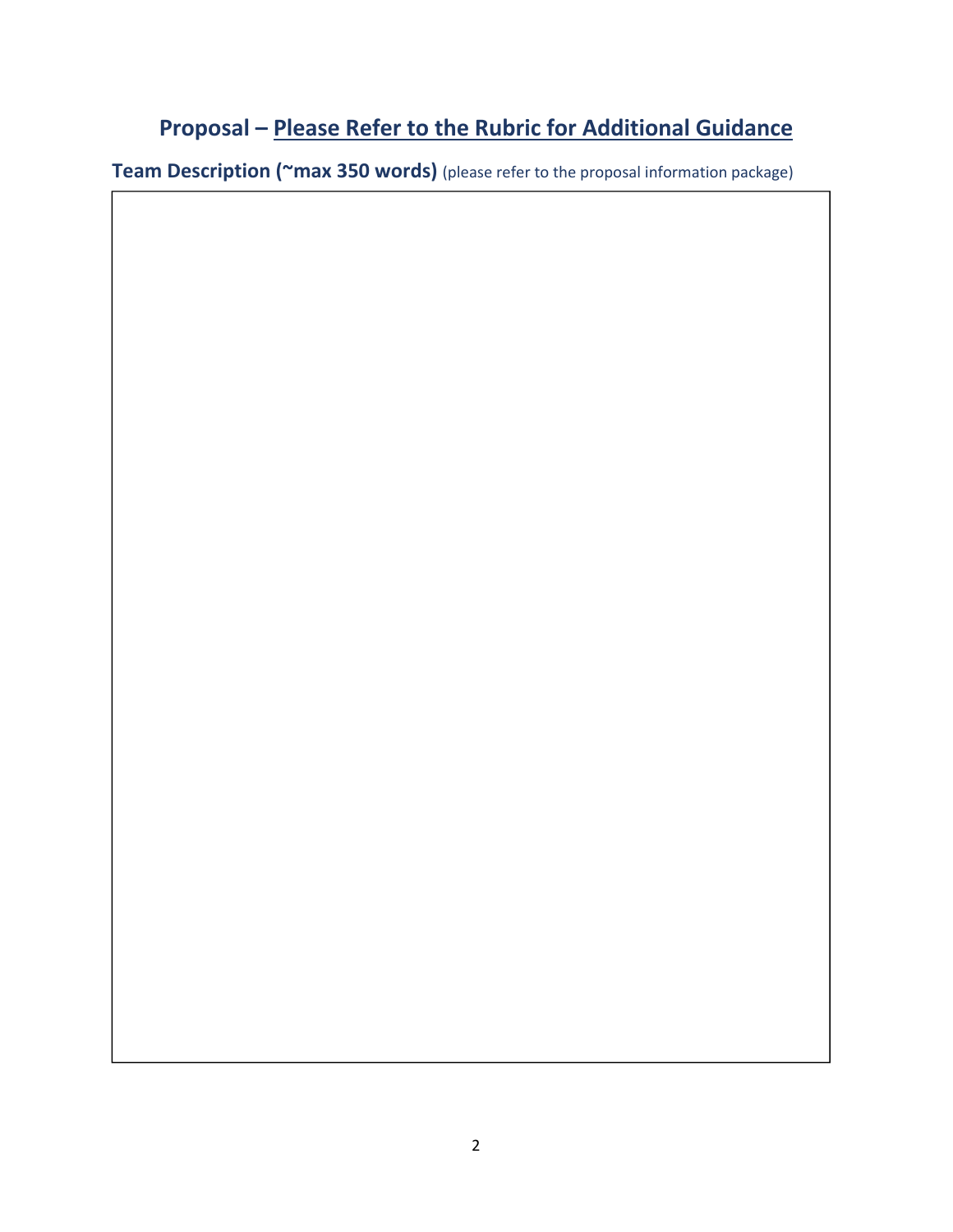## **Proposal – Please Refer to the Rubric for Additional Guidance**

**Team Description (~max 350 words)** (please refer to the proposal information package)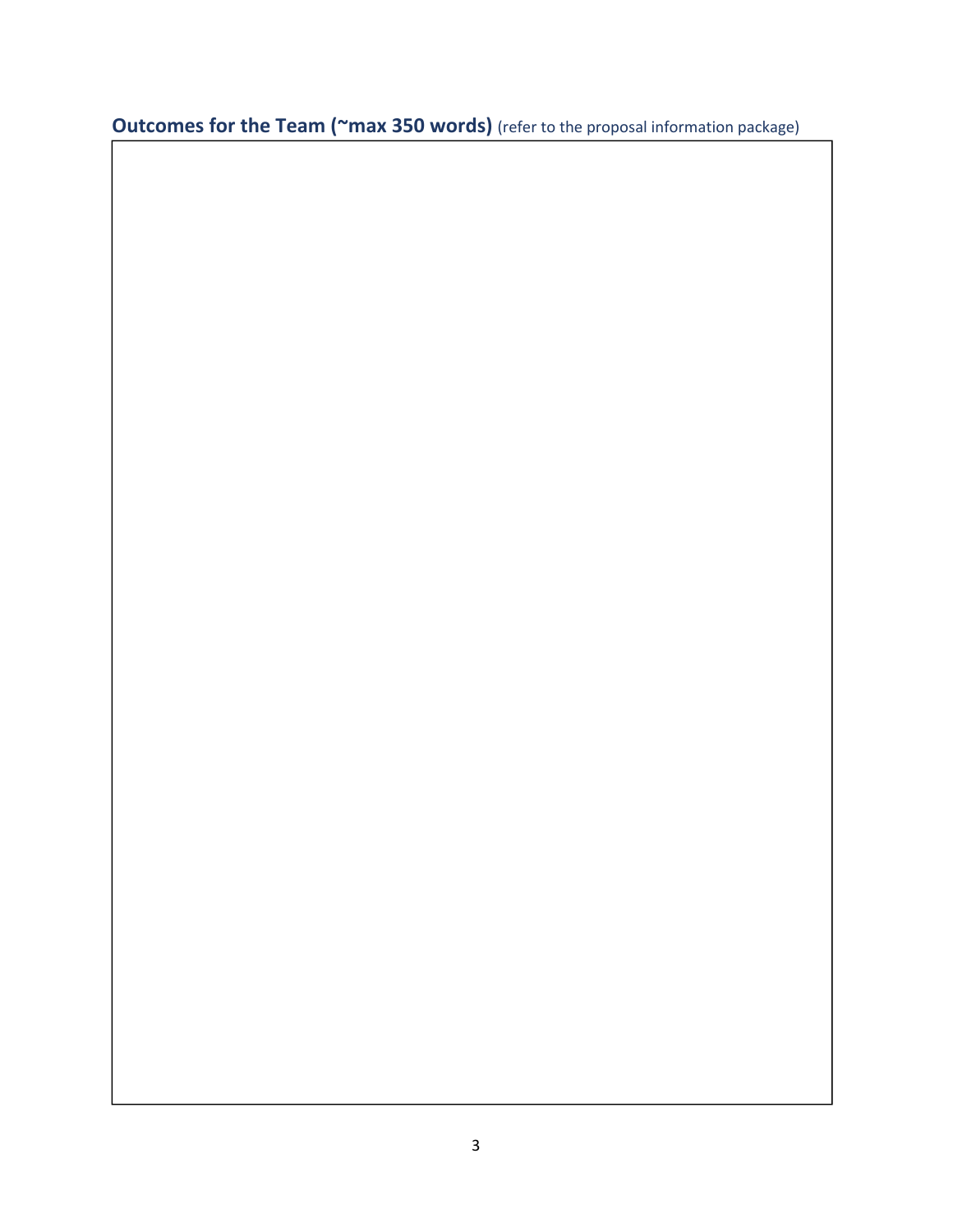**Outcomes for the Team (~max 350 words)** (refer to the proposal information package)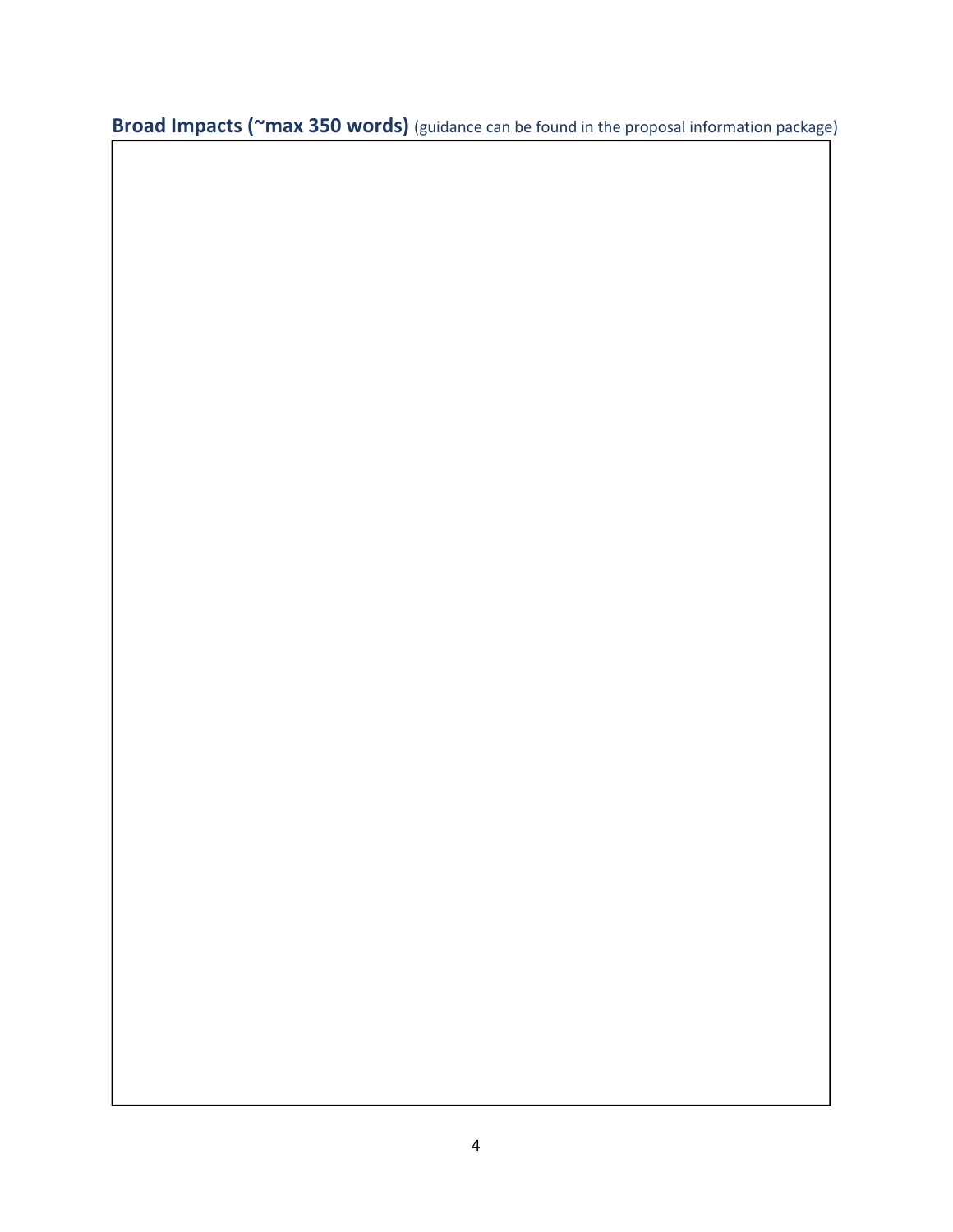**Broad Impacts (~max 350 words)** (guidance can be found in the proposal information package)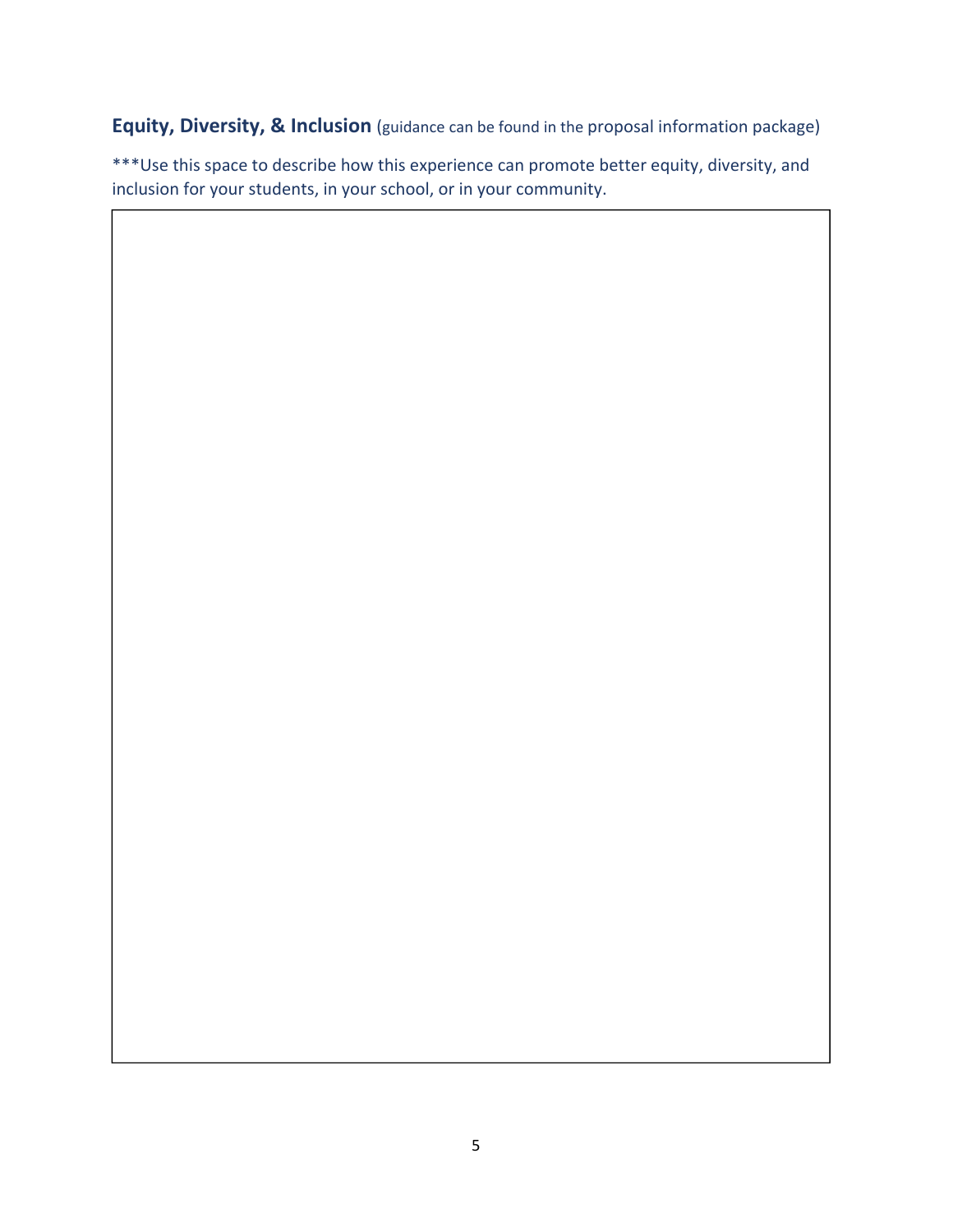**Equity, Diversity, & Inclusion** (guidance can be found in the proposal information package)

\*\*\*Use this space to describe how this experience can promote better equity, diversity, and inclusion for your students, in your school, or in your community.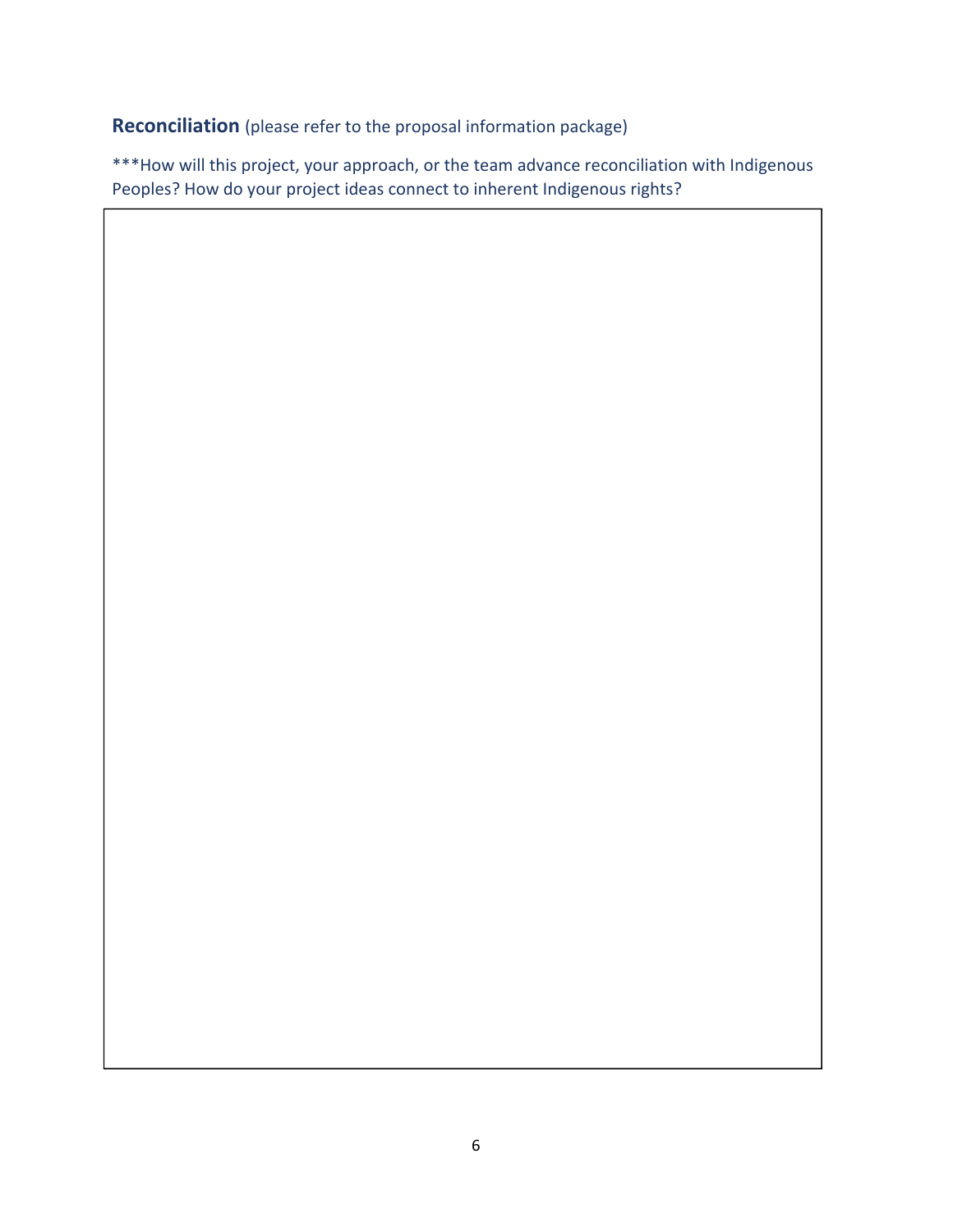**Reconciliation** (please refer to the proposal information package)

\*\*\*How will this project, your approach, or the team advance reconciliation with Indigenous Peoples? How do your project ideas connect to inherent Indigenous rights?